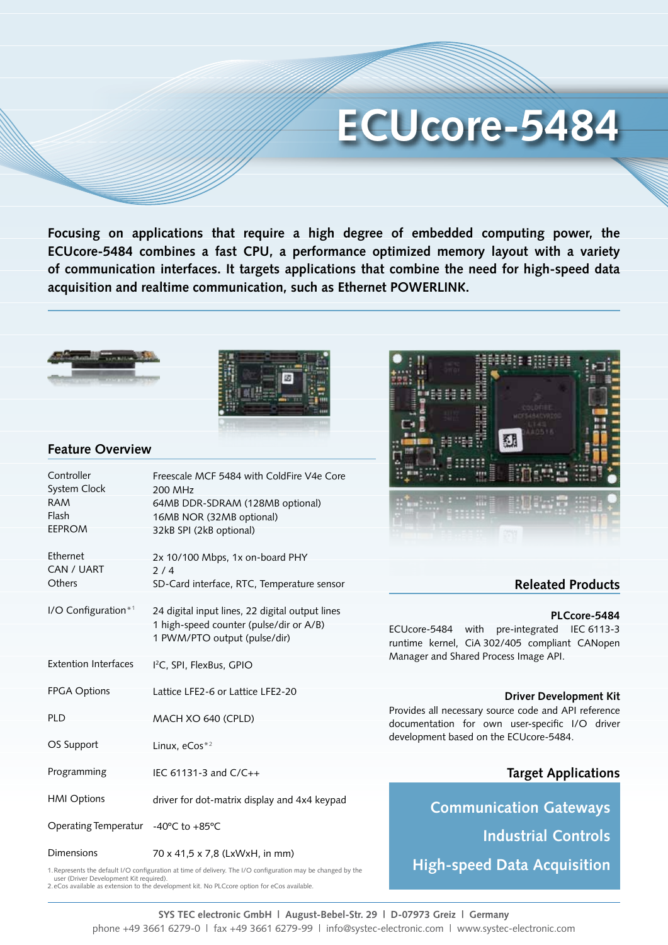# **ECUcore-5484**

**Focusing on applications that require a high degree of embedded computing power, the ECUcore-5484 combines a fast CPU, a performance optimized memory layout with a variety of communication interfaces. It targets applications that combine the need for high-speed data acquisition and realtime communication, such as Ethernet POWERLINK.**





### **Feature Overview**

| Controller<br>System Clock<br><b>RAM</b><br>Flash<br><b>EEPROM</b> | Freescale MCF 5484 with ColdFire V4e Core<br>200 MHz<br>64MB DDR-SDRAM (128MB optional)<br>16MB NOR (32MB optional)<br>32kB SPI (2kB optional) |
|--------------------------------------------------------------------|------------------------------------------------------------------------------------------------------------------------------------------------|
| Ethernet<br>CAN / UART<br>Others                                   | 2x 10/100 Mbps, 1x on-board PHY<br>2/4<br>SD-Card interface, RTC, Temperature sensor                                                           |
| I/O Configuration*1                                                | 24 digital input lines, 22 digital output lines<br>1 high-speed counter (pulse/dir or A/B)<br>1 PWM/PTO output (pulse/dir)                     |
| <b>Extention Interfaces</b>                                        | I <sup>2</sup> C, SPI, FlexBus, GPIO                                                                                                           |
| <b>FPGA Options</b>                                                | Lattice LFE2-6 or Lattice LFE2-20                                                                                                              |
| <b>PLD</b>                                                         | MACH XO 640 (CPLD)                                                                                                                             |
| OS Support                                                         | Linux, $e\text{Cos}^{*2}$                                                                                                                      |
| Programming                                                        | IEC 61131-3 and C/C++                                                                                                                          |
| <b>HMI Options</b>                                                 | driver for dot-matrix display and 4x4 keypad                                                                                                   |
| Operating Temperatur -40°C to +85°C                                |                                                                                                                                                |
| <b>Dimensions</b>                                                  | 70 x 41,5 x 7,8 (LxWxH, in mm)                                                                                                                 |



## **Releated Products**

#### **PLCcore-5484**

ECUcore-5484 with pre-integrated IEC 6113-3 runtime kernel, CiA 302/405 compliant CANopen Manager and Shared Process Image API.

#### **Driver Development Kit**

Provides all necessary source code and API reference documentation for own user-specific I/O driver development based on the ECUcore-5484.

## **Target Applications**

**Communication Gateways Industrial Controls** 1. Represents the default I/O configuration at time of delivery. The I/O configuration may be changed by the **High-speed Data Acquisition** 

user (Driver Development Kit required). 2.eCos available as extension to the development kit. No PLCcore option for eCos available.